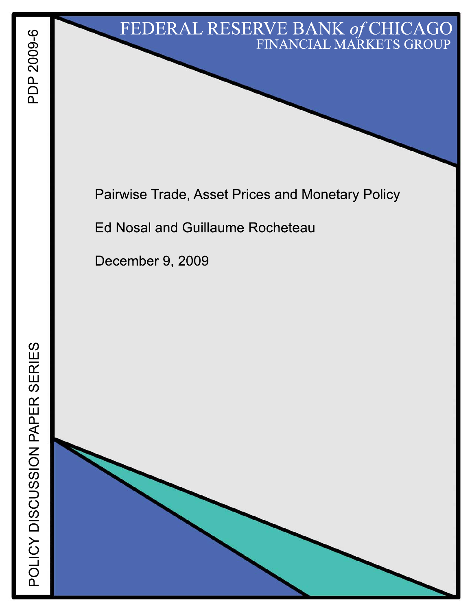# FEDERAL RESERVE BANK of CHICAGO FINANCIAL MARKETS GROUP

Pairwise Trade, Asset Prices and Monetary Policy

**Ed Nosal and Guillaume Rocheteau** 

December 9, 2009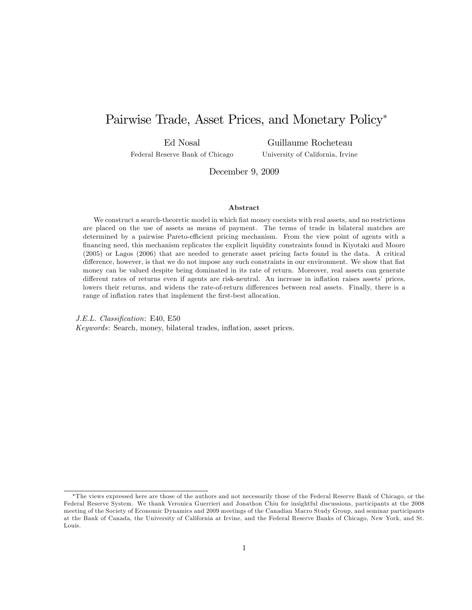## Pairwise Trade, Asset Prices, and Monetary Policy

Ed Nosal Federal Reserve Bank of Chicago

Guillaume Rocheteau University of California, Irvine

December 9, 2009

#### Abstract

We construct a search-theoretic model in which fiat money coexists with real assets, and no restrictions are placed on the use of assets as means of payment. The terms of trade in bilateral matches are determined by a pairwise Pareto-efficient pricing mechanism. From the view point of agents with a financing need, this mechanism replicates the explicit liquidity constraints found in Kiyotaki and Moore (2005) or Lagos (2006) that are needed to generate asset pricing facts found in the data. A critical difference, however, is that we do not impose any such constraints in our environment. We show that fiat money can be valued despite being dominated in its rate of return. Moreover, real assets can generate different rates of returns even if agents are risk-neutral. An increase in inflation raises assets' prices, lowers their returns, and widens the rate-of-return differences between real assets. Finally, there is a range of inflation rates that implement the first-best allocation.

J.E.L. Classification: E40, E50 Keywords: Search, money, bilateral trades, inflation, asset prices.

The views expressed here are those of the authors and not necessarily those of the Federal Reserve Bank of Chicago, or the Federal Reserve System. We thank Veronica Guerrieri and Jonathon Chiu for insightful discussions, participants at the 2008 meeting of the Society of Economic Dynamics and 2009 meetings of the Canadian Macro Study Group, and seminar participants at the Bank of Canada, the University of California at Irvine, and the Federal Reserve Banks of Chicago, New York, and St. Louis.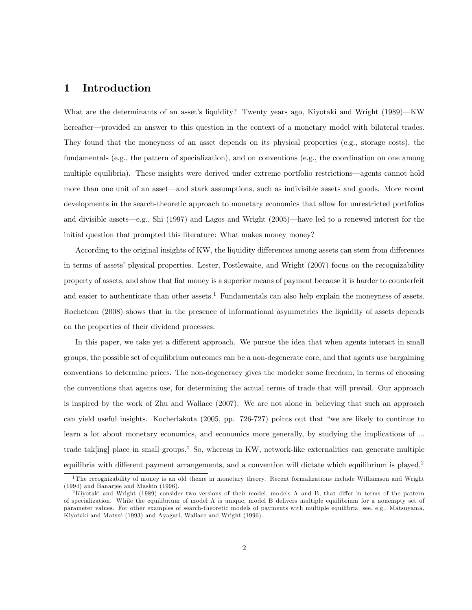#### 1 Introduction

What are the determinants of an asset's liquidity? Twenty years ago, Kiyotaki and Wright  $(1989)$ —KW hereafter—provided an answer to this question in the context of a monetary model with bilateral trades. They found that the moneyness of an asset depends on its physical properties (e.g., storage costs), the fundamentals (e.g., the pattern of specialization), and on conventions (e.g., the coordination on one among multiple equilibria). These insights were derived under extreme portfolio restrictions—agents cannot hold more than one unit of an asset—and stark assumptions, such as indivisible assets and goods. More recent developments in the search-theoretic approach to monetary economics that allow for unrestricted portfolios and divisible assets—e.g., Shi (1997) and Lagos and Wright (2005)—have led to a renewed interest for the initial question that prompted this literature: What makes money money?

According to the original insights of KW, the liquidity differences among assets can stem from differences in terms of assets' physical properties. Lester, Postlewaite, and Wright (2007) focus on the recognizability property of assets, and show that Öat money is a superior means of payment because it is harder to counterfeit and easier to authenticate than other assets.<sup>1</sup> Fundamentals can also help explain the moneyness of assets. Rocheteau (2008) shows that in the presence of informational asymmetries the liquidity of assets depends on the properties of their dividend processes.

In this paper, we take yet a different approach. We pursue the idea that when agents interact in small groups, the possible set of equilibrium outcomes can be a non-degenerate core, and that agents use bargaining conventions to determine prices. The non-degeneracy gives the modeler some freedom, in terms of choosing the conventions that agents use, for determining the actual terms of trade that will prevail. Our approach is inspired by the work of Zhu and Wallace (2007). We are not alone in believing that such an approach can yield useful insights. Kocherlakota  $(2005, pp. 726-727)$  points out that "we are likely to continue to learn a lot about monetary economics, and economics more generally, by studying the implications of ... trade tak[ing] place in small groups." So, whereas in KW, network-like externalities can generate multiple equilibria with different payment arrangements, and a convention will dictate which equilibrium is played, $2$ 

<sup>&</sup>lt;sup>1</sup>The recognizability of money is an old theme in monetary theory. Recent formalizations include Williamson and Wright (1994) and Banarjee and Maskin (1996).

<sup>&</sup>lt;sup>2</sup>Kiyotaki and Wright (1989) consider two versions of their model, models A and B, that differ in terms of the pattern of specialization. While the equilibrium of model A is unique, model B delivers multiple equilibrium for a nonempty set of parameter values. For other examples of search-theoretic models of payments with multiple equilibria, see, e.g., Matsuyama, Kiyotaki and Matsui (1993) and Ayagari, Wallace and Wright (1996).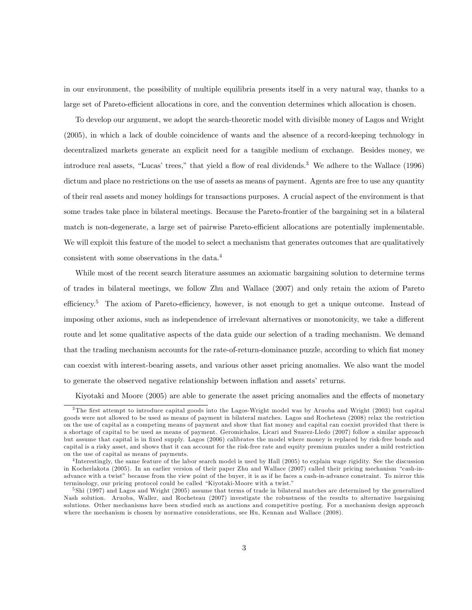in our environment, the possibility of multiple equilibria presents itself in a very natural way, thanks to a large set of Pareto-efficient allocations in core, and the convention determines which allocation is chosen.

To develop our argument, we adopt the search-theoretic model with divisible money of Lagos and Wright (2005), in which a lack of double coincidence of wants and the absence of a record-keeping technology in decentralized markets generate an explicit need for a tangible medium of exchange. Besides money, we introduce real assets, "Lucas' trees," that yield a flow of real dividends.<sup>3</sup> We adhere to the Wallace (1996) dictum and place no restrictions on the use of assets as means of payment. Agents are free to use any quantity of their real assets and money holdings for transactions purposes. A crucial aspect of the environment is that some trades take place in bilateral meetings. Because the Pareto-frontier of the bargaining set in a bilateral match is non-degenerate, a large set of pairwise Pareto-efficient allocations are potentially implementable. We will exploit this feature of the model to select a mechanism that generates outcomes that are qualitatively consistent with some observations in the data.<sup>4</sup>

While most of the recent search literature assumes an axiomatic bargaining solution to determine terms of trades in bilateral meetings, we follow Zhu and Wallace (2007) and only retain the axiom of Pareto efficiency.<sup>5</sup> The axiom of Pareto-efficiency, however, is not enough to get a unique outcome. Instead of imposing other axioms, such as independence of irrelevant alternatives or monotonicity, we take a different route and let some qualitative aspects of the data guide our selection of a trading mechanism. We demand that the trading mechanism accounts for the rate-of-return-dominance puzzle, according to which fiat money can coexist with interest-bearing assets, and various other asset pricing anomalies. We also want the model to generate the observed negative relationship between inflation and assets' returns.

Kiyotaki and Moore (2005) are able to generate the asset pricing anomalies and the effects of monetary

<sup>&</sup>lt;sup>3</sup>The first attempt to introduce capital goods into the Lagos-Wright model was by Aruoba and Wright (2003) but capital goods were not allowed to be used as means of payment in bilateral matches. Lagos and Rocheteau (2008) relax the restriction on the use of capital as a competing means of payment and show that Öat money and capital can coexist provided that there is a shortage of capital to be used as means of payment. Geromichalos, Licari and Suarez-Lledo (2007) follow a similar approach but assume that capital is in fixed supply. Lagos (2006) calibrates the model where money is replaced by risk-free bonds and capital is a risky asset, and shows that it can account for the risk-free rate and equity premium puzzles under a mild restriction on the use of capital as means of payments.

<sup>&</sup>lt;sup>4</sup>Interestingly, the same feature of the labor search model is used by Hall (2005) to explain wage rigidity. See the discussion in Kocherlakota (2005). In an earlier version of their paper Zhu and Wallace (2007) called their pricing mechanism "cash-inadvance with a twist" because from the view point of the buyer, it is as if he faces a cash-in-advance constraint. To mirror this terminology, our pricing protocol could be called "Kiyotaki-Moore with a twist."

<sup>&</sup>lt;sup>5</sup>Shi (1997) and Lagos and Wright (2005) assume that terms of trade in bilateral matches are determined by the generalized Nash solution. Aruoba, Waller, and Rocheteau (2007) investigate the robustness of the results to alternative bargaining solutions. Other mechanisms have been studied such as auctions and competitive posting. For a mechanism design approach where the mechanism is chosen by normative considerations, see Hu, Kennan and Wallace (2008).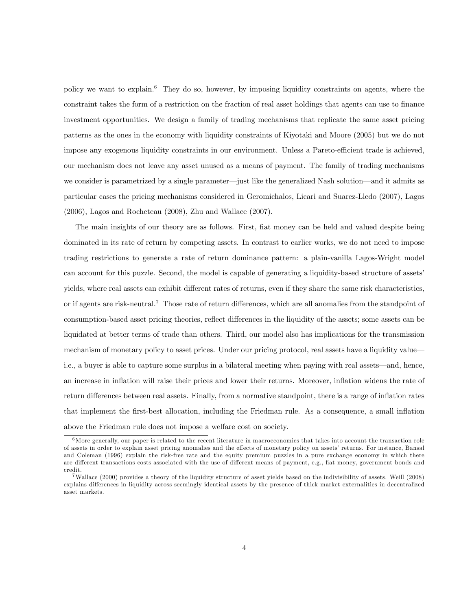policy we want to explain.<sup>6</sup> They do so, however, by imposing liquidity constraints on agents, where the constraint takes the form of a restriction on the fraction of real asset holdings that agents can use to finance investment opportunities. We design a family of trading mechanisms that replicate the same asset pricing patterns as the ones in the economy with liquidity constraints of Kiyotaki and Moore (2005) but we do not impose any exogenous liquidity constraints in our environment. Unless a Pareto-efficient trade is achieved, our mechanism does not leave any asset unused as a means of payment. The family of trading mechanisms we consider is parametrized by a single parameter—just like the generalized Nash solution—and it admits as particular cases the pricing mechanisms considered in Geromichalos, Licari and Suarez-Lledo (2007), Lagos (2006), Lagos and Rocheteau (2008), Zhu and Wallace (2007).

The main insights of our theory are as follows. First, Öat money can be held and valued despite being dominated in its rate of return by competing assets. In contrast to earlier works, we do not need to impose trading restrictions to generate a rate of return dominance pattern: a plain-vanilla Lagos-Wright model can account for this puzzle. Second, the model is capable of generating a liquidity-based structure of assets' yields, where real assets can exhibit different rates of returns, even if they share the same risk characteristics, or if agents are risk-neutral.<sup>7</sup> Those rate of return differences, which are all anomalies from the standpoint of consumption-based asset pricing theories, reflect differences in the liquidity of the assets; some assets can be liquidated at better terms of trade than others. Third, our model also has implications for the transmission mechanism of monetary policy to asset prices. Under our pricing protocol, real assets have a liquidity value i.e., a buyer is able to capture some surplus in a bilateral meeting when paying with real assets—and, hence, an increase in inflation will raise their prices and lower their returns. Moreover, inflation widens the rate of return differences between real assets. Finally, from a normative standpoint, there is a range of inflation rates that implement the first-best allocation, including the Friedman rule. As a consequence, a small inflation above the Friedman rule does not impose a welfare cost on society.

 $6$ More generally, our paper is related to the recent literature in macroeconomics that takes into account the transaction role of assets in order to explain asset pricing anomalies and the effects of monetary policy on assets' returns. For instance, Bansal and Coleman (1996) explain the risk-free rate and the equity premium puzzles in a pure exchange economy in which there are different transactions costs associated with the use of different means of payment, e.g., fiat money, government bonds and credit.

<sup>7</sup>Wallace (2000) provides a theory of the liquidity structure of asset yields based on the indivisibility of assets. Weill (2008) explains differences in liquidity across seemingly identical assets by the presence of thick market externalities in decentralized asset markets.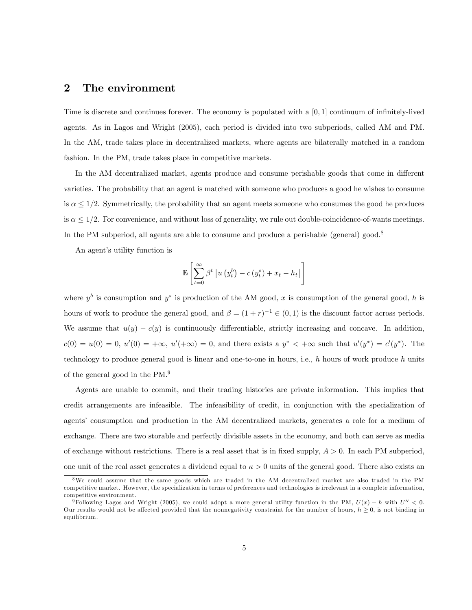#### 2 The environment

Time is discrete and continues forever. The economy is populated with a  $[0, 1]$  continuum of infinitely-lived agents. As in Lagos and Wright (2005), each period is divided into two subperiods, called AM and PM. In the AM, trade takes place in decentralized markets, where agents are bilaterally matched in a random fashion. In the PM, trade takes place in competitive markets.

In the AM decentralized market, agents produce and consume perishable goods that come in different varieties. The probability that an agent is matched with someone who produces a good he wishes to consume is  $\alpha \leq 1/2$ . Symmetrically, the probability that an agent meets someone who consumes the good he produces is  $\alpha \leq 1/2$ . For convenience, and without loss of generality, we rule out double-coincidence-of-wants meetings. In the PM subperiod, all agents are able to consume and produce a perishable (general) good.<sup>8</sup>

An agent's utility function is

$$
\mathbb{E}\left[\sum_{t=0}^{\infty} \beta^t \left[ u\left(y_t^b\right) - c\left(y_t^s\right) + x_t - h_t \right]\right]
$$

where  $y^b$  is consumption and  $y^s$  is production of the AM good, x is consumption of the general good, h is hours of work to produce the general good, and  $\beta = (1+r)^{-1} \in (0,1)$  is the discount factor across periods. We assume that  $u(y) - c(y)$  is continuously differentiable, strictly increasing and concave. In addition,  $c(0) = u(0) = 0, u'(0) = +\infty, u'(+\infty) = 0$ , and there exists a  $y^* < +\infty$  such that  $u'(y^*) = c'(y^*)$ . The technology to produce general good is linear and one-to-one in hours, i.e.,  $h$  hours of work produce  $h$  units of the general good in the PM.<sup>9</sup>

Agents are unable to commit, and their trading histories are private information. This implies that credit arrangements are infeasible. The infeasibility of credit, in conjunction with the specialization of agents' consumption and production in the AM decentralized markets, generates a role for a medium of exchange. There are two storable and perfectly divisible assets in the economy, and both can serve as media of exchange without restrictions. There is a real asset that is in fixed supply,  $A > 0$ . In each PM subperiod, one unit of the real asset generates a dividend equal to  $\kappa > 0$  units of the general good. There also exists an

<sup>8</sup>We could assume that the same goods which are traded in the AM decentralized market are also traded in the PM competitive market. However, the specialization in terms of preferences and technologies is irrelevant in a complete information, competitive environment.

<sup>&</sup>lt;sup>9</sup>Following Lagos and Wright (2005), we could adopt a more general utility function in the PM,  $U(x) - h$  with  $U'' < 0$ . Our results would not be affected provided that the nonnegativity constraint for the number of hours,  $h \geq 0$ , is not binding in equilibrium.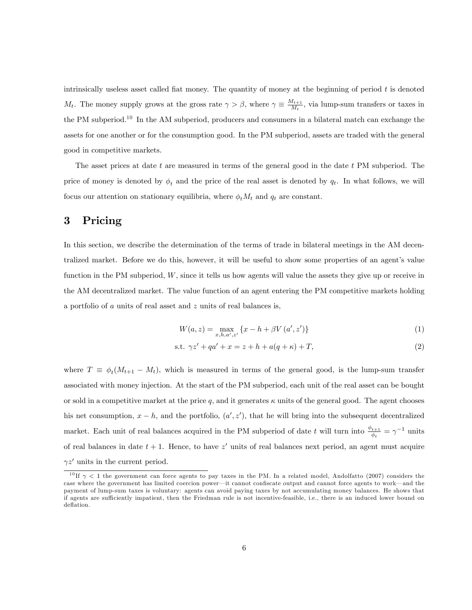intrinsically useless asset called fiat money. The quantity of money at the beginning of period  $t$  is denoted  $M_t$ . The money supply grows at the gross rate  $\gamma > \beta$ , where  $\gamma \equiv \frac{M_{t+1}}{M_t}$  $\frac{d_{t+1}}{M_t}$ , via lump-sum transfers or taxes in the PM subperiod.<sup>10</sup> In the AM subperiod, producers and consumers in a bilateral match can exchange the assets for one another or for the consumption good. In the PM subperiod, assets are traded with the general good in competitive markets.

The asset prices at date t are measured in terms of the general good in the date t PM subperiod. The price of money is denoted by  $\phi_t$  and the price of the real asset is denoted by  $q_t$ . In what follows, we will focus our attention on stationary equilibria, where  $\phi_t M_t$  and  $q_t$  are constant.

### 3 Pricing

In this section, we describe the determination of the terms of trade in bilateral meetings in the AM decentralized market. Before we do this, however, it will be useful to show some properties of an agent's value function in the PM subperiod, W, since it tells us how agents will value the assets they give up or receive in the AM decentralized market. The value function of an agent entering the PM competitive markets holding a portfolio of a units of real asset and z units of real balances is,

$$
W(a, z) = \max_{x, h, a', z'} \{x - h + \beta V(a', z')\}
$$
 (1)

s.t. 
$$
\gamma z' + qa' + x = z + h + a(q + \kappa) + T,
$$
 (2)

where  $T \equiv \phi_t(M_{t+1} - M_t)$ , which is measured in terms of the general good, is the lump-sum transfer associated with money injection. At the start of the PM subperiod, each unit of the real asset can be bought or sold in a competitive market at the price q, and it generates  $\kappa$  units of the general good. The agent chooses his net consumption,  $x - h$ , and the portfolio,  $(a', z')$ , that he will bring into the subsequent decentralized market. Each unit of real balances acquired in the PM subperiod of date t will turn into  $\frac{\phi_{t+1}}{\phi_t} = \gamma^{-1}$  units of real balances in date  $t + 1$ . Hence, to have z' units of real balances next period, an agent must acquire  $\gamma z'$  units in the current period.

<sup>&</sup>lt;sup>10</sup> If  $\gamma$  < 1 the government can force agents to pay taxes in the PM. In a related model, Andolfatto (2007) considers the case where the government has limited coercion power—it cannot confiscate output and cannot force agents to work—and the payment of lump-sum taxes is voluntary: agents can avoid paying taxes by not accumulating money balances. He shows that if agents are sufficiently impatient, then the Friedman rule is not incentive-feasible, i.e., there is an induced lower bound on deflation.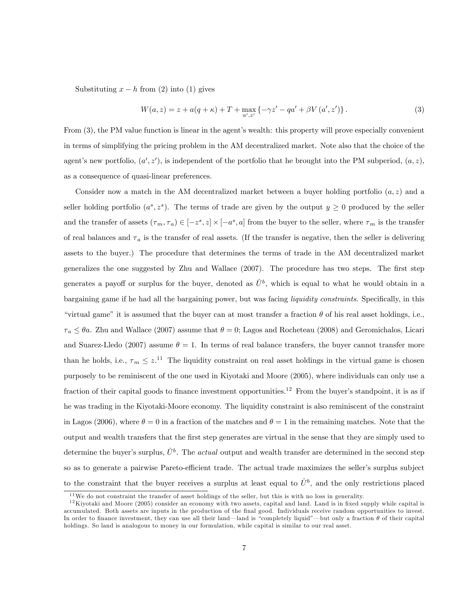Substituting  $x - h$  from (2) into (1) gives

$$
W(a,z) = z + a(q+\kappa) + T + \max_{a',z'} \{ -\gamma z' - qa' + \beta V(a',z') \}.
$$
 (3)

From (3), the PM value function is linear in the agent's wealth: this property will prove especially convenient in terms of simplifying the pricing problem in the AM decentralized market. Note also that the choice of the agent's new portfolio,  $(a', z')$ , is independent of the portfolio that he brought into the PM subperiod,  $(a, z)$ , as a consequence of quasi-linear preferences.

Consider now a match in the AM decentralized market between a buyer holding portfolio  $(a, z)$  and a seller holding portfolio  $(a^s, z^s)$ . The terms of trade are given by the output  $y \geq 0$  produced by the seller and the transfer of assets  $(\tau_m, \tau_a) \in [-z^s, z] \times [-a^s, a]$  from the buyer to the seller, where  $\tau_m$  is the transfer of real balances and  $\tau_a$  is the transfer of real assets. (If the transfer is negative, then the seller is delivering assets to the buyer.) The procedure that determines the terms of trade in the AM decentralized market generalizes the one suggested by Zhu and Wallace (2007). The procedure has two steps. The first step generates a payoff or surplus for the buyer, denoted as  $\hat{U}^b$ , which is equal to what he would obtain in a bargaining game if he had all the bargaining power, but was facing *liquidity constraints*. Specifically, in this "virtual game" it is assumed that the buyer can at most transfer a fraction  $\theta$  of his real asset holdings, i.e.,  $\tau_a \leq \theta a$ . Zhu and Wallace (2007) assume that  $\theta = 0$ ; Lagos and Rocheteau (2008) and Geromichalos, Licari and Suarez-Lledo (2007) assume  $\theta = 1$ . In terms of real balance transfers, the buyer cannot transfer more than he holds, i.e.,  $\tau_m \leq z^{11}$  The liquidity constraint on real asset holdings in the virtual game is chosen purposely to be reminiscent of the one used in Kiyotaki and Moore (2005), where individuals can only use a fraction of their capital goods to finance investment opportunities.<sup>12</sup> From the buyer's standpoint, it is as if he was trading in the Kiyotaki-Moore economy. The liquidity constraint is also reminiscent of the constraint in Lagos (2006), where  $\theta = 0$  in a fraction of the matches and  $\theta = 1$  in the remaining matches. Note that the output and wealth transfers that the Örst step generates are virtual in the sense that they are simply used to determine the buyer's surplus,  $\hat{U}^b$ . The *actual* output and wealth transfer are determined in the second step so as to generate a pairwise Pareto-efficient trade. The actual trade maximizes the seller's surplus subject to the constraint that the buyer receives a surplus at least equal to  $\hat{U}^b$ , and the only restrictions placed

<sup>&</sup>lt;sup>11</sup>We do not constraint the transfer of asset holdings of the seller, but this is with no loss in generality.

 $12$ Kiyotaki and Moore (2005) consider an economy with two assets, capital and land. Land is in fixed supply while capital is accumulated. Both assets are inputs in the production of the final good. Individuals receive random opportunities to invest. In order to finance investment, they can use all their land—land is "completely liquid"—but only a fraction  $\theta$  of their capital holdings. So land is analogous to money in our formulation, while capital is similar to our real asset.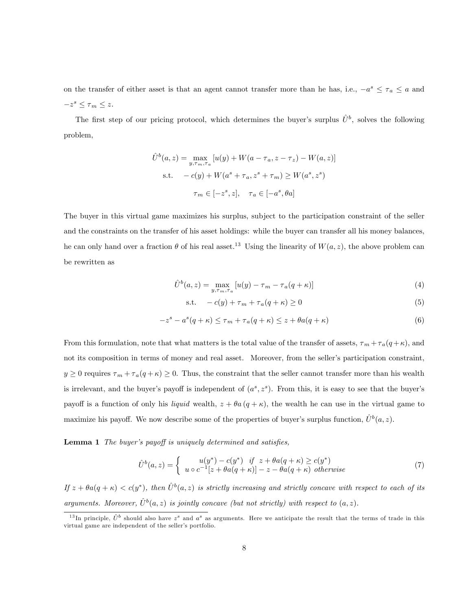on the transfer of either asset is that an agent cannot transfer more than he has, i.e.,  $-a^s \leq \tau_a \leq a$  and  $-z^s \leq \tau_m \leq z.$ 

The first step of our pricing protocol, which determines the buyer's surplus  $\hat{U}^b$ , solves the following problem,

$$
\hat{U}^b(a, z) = \max_{y, \tau_m, \tau_a} [u(y) + W(a - \tau_a, z - \tau_z) - W(a, z)]
$$
  
s.t. 
$$
-c(y) + W(a^s + \tau_a, z^s + \tau_m) \ge W(a^s, z^s)
$$

$$
\tau_m \in [-z^s, z], \quad \tau_a \in [-a^s, \theta a]
$$

The buyer in this virtual game maximizes his surplus, subject to the participation constraint of the seller and the constraints on the transfer of his asset holdings: while the buyer can transfer all his money balances, he can only hand over a fraction  $\theta$  of his real asset.<sup>13</sup> Using the linearity of  $W(a, z)$ , the above problem can be rewritten as

$$
\hat{U}^b(a,z) = \max_{y,\tau_m,\tau_a} [u(y) - \tau_m - \tau_a(q+\kappa)] \tag{4}
$$

$$
s.t. \quad -c(y) + \tau_m + \tau_a(q + \kappa) \ge 0 \tag{5}
$$

$$
-zs - as(q + \kappa) \le \tau_m + \tau_a(q + \kappa) \le z + \theta a(q + \kappa)
$$
 (6)

From this formulation, note that what matters is the total value of the transfer of assets,  $\tau_m + \tau_a(q + \kappa)$ , and not its composition in terms of money and real asset. Moreover, from the seller's participation constraint,  $y \ge 0$  requires  $\tau_m + \tau_a(q + \kappa) \ge 0$ . Thus, the constraint that the seller cannot transfer more than his wealth is irrelevant, and the buyer's payoff is independent of  $(a^s, z^s)$ . From this, it is easy to see that the buyer's payoff is a function of only his liquid wealth,  $z + \theta a (q + \kappa)$ , the wealth he can use in the virtual game to maximize his payoff. We now describe some of the properties of buyer's surplus function,  $\hat{U}^b(a, z)$ .

**Lemma 1** The buyer's payoff is uniquely determined and satisfies,

$$
\hat{U}^{b}(a,z) = \begin{cases}\nu(y^*) - c(y^*) & \text{if } z + \theta a(q+\kappa) \ge c(y^*)\\u \circ c^{-1}[z + \theta a(q+\kappa)] - z - \theta a(q+\kappa) & otherwise \end{cases} \tag{7}
$$

If  $z + \theta a(q + \kappa) < c(y^*)$ , then  $\hat{U}^b(a, z)$  is strictly increasing and strictly concave with respect to each of its arguments. Moreover,  $\hat{U}^b(a, z)$  is jointly concave (but not strictly) with respect to  $(a, z)$ .

<sup>&</sup>lt;sup>13</sup>In principle,  $\hat{U}^b$  should also have  $z^s$  and  $a^s$  as arguments. Here we anticipate the result that the terms of trade in this virtual game are independent of the seller's portfolio.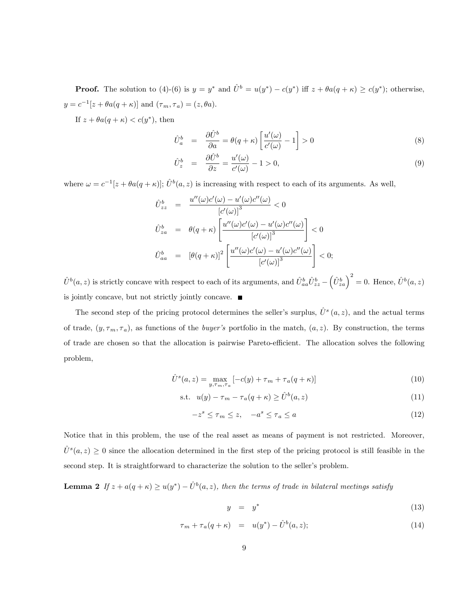**Proof.** The solution to (4)-(6) is  $y = y^*$  and  $\hat{U}^b = u(y^*) - c(y^*)$  iff  $z + \theta a(q + \kappa) \ge c(y^*)$ ; otherwise,  $y = c^{-1}[z + \theta a(q + \kappa)]$  and  $(\tau_m, \tau_a) = (z, \theta a)$ .

If  $z + \theta a(q + \kappa) < c(y^*)$ , then

$$
\hat{U}_a^b = \frac{\partial \hat{U}^b}{\partial a} = \theta(q+\kappa) \left[ \frac{u'(\omega)}{c'(\omega)} - 1 \right] > 0 \tag{8}
$$

$$
\hat{U}^b_z = \frac{\partial \hat{U}^b}{\partial z} = \frac{u'(\omega)}{c'(\omega)} - 1 > 0,
$$
\n(9)

where  $\omega = c^{-1}[z + \theta a(q + \kappa)]; \hat{U}^b(a, z)$  is increasing with respect to each of its arguments. As well,

$$
\hat{U}_{zz}^b = \frac{u''(\omega)c'(\omega) - u'(\omega)c''(\omega)}{[c'(\omega)]^3} < 0
$$
  

$$
\hat{U}_{za}^b = \theta(q+\kappa) \left[ \frac{u''(\omega)c'(\omega) - u'(\omega)c''(\omega)}{[c'(\omega)]^3} \right] < 0
$$
  

$$
\hat{U}_{aa}^b = [\theta(q+\kappa)]^2 \left[ \frac{u''(\omega)c'(\omega) - u'(\omega)c''(\omega)}{[c'(\omega)]^3} \right] < 0;
$$

 $\hat{U}^b(a, z)$  is strictly concave with respect to each of its arguments, and  $\hat{U}_{aa}^b \hat{U}_{zz}^b$  –  $\left(\hat{U}^b_{za}\right)^2 = 0$ . Hence,  $\hat{U}^b(a, z)$ is jointly concave, but not strictly jointly concave.  $\blacksquare$ 

The second step of the pricing protocol determines the seller's surplus,  $\hat{U}^s(a, z)$ , and the actual terms of trade,  $(y, \tau_m, \tau_a)$ , as functions of the *buyer's* portfolio in the match,  $(a, z)$ . By construction, the terms of trade are chosen so that the allocation is pairwise Pareto-efficient. The allocation solves the following problem,

$$
\hat{U}^s(a,z) = \max_{y,\tau_m,\tau_a} \left[ -c(y) + \tau_m + \tau_a(q+\kappa) \right] \tag{10}
$$

$$
\text{s.t. } u(y) - \tau_m - \tau_a(q + \kappa) \ge \hat{U}^b(a, z) \tag{11}
$$

$$
-z^s \le \tau_m \le z, \quad -a^s \le \tau_a \le a \tag{12}
$$

Notice that in this problem, the use of the real asset as means of payment is not restricted. Moreover,  $\hat{U}^{s}(a, z) \geq 0$  since the allocation determined in the first step of the pricing protocol is still feasible in the second step. It is straightforward to characterize the solution to the seller's problem.

**Lemma 2** If  $z + a(q + \kappa) \ge u(y^*) - \hat{U}^b(a, z)$ , then the terms of trade in bilateral meetings satisfy

$$
y = y^* \tag{13}
$$

$$
\tau_m + \tau_a(q + \kappa) = u(y^*) - \hat{U}^b(a, z); \tag{14}
$$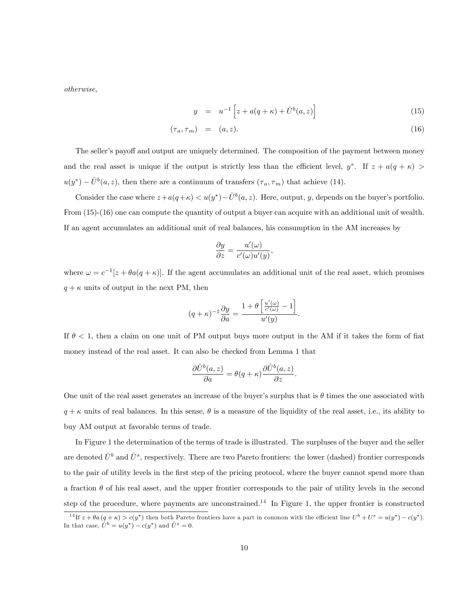otherwise,

$$
y = u^{-1} \left[ z + a(q + \kappa) + \hat{U}^b(a, z) \right]
$$
 (15)

$$
(\tau_a, \tau_m) = (a, z). \tag{16}
$$

The seller's payoff and output are uniquely determined. The composition of the payment between money and the real asset is unique if the output is strictly less than the efficient level,  $y^*$ . If  $z + a(q + \kappa)$  $u(y^*) - \hat{U}^b(a, z)$ , then there are a continuum of transfers  $(\tau_a, \tau_m)$  that achieve (14).

Consider the case where  $z + a(q + \kappa) < u(y^*) - \hat{U}^b(a, z)$ . Here, output, y, depends on the buyer's portfolio. From  $(15)-(16)$  one can compute the quantity of output a buyer can acquire with an additional unit of wealth. If an agent accumulates an additional unit of real balances, his consumption in the AM increases by

$$
\frac{\partial y}{\partial z} = \frac{u'(\omega)}{c'(\omega)u'(y)},
$$

where  $\omega = c^{-1}[z + \theta a(q + \kappa)]$ . If the agent accumulates an additional unit of the real asset, which promises  $q + \kappa$  units of output in the next PM, then

$$
(q+\kappa)^{-1}\frac{\partial y}{\partial a} = \frac{1+\theta\left[\frac{u'(\omega)}{c'(\omega)} - 1\right]}{u'(y)}.
$$

If  $\theta$  < 1, then a claim on one unit of PM output buys more output in the AM if it takes the form of fiat money instead of the real asset. It can also be checked from Lemma 1 that

$$
\frac{\partial \hat{U}^b(a,z)}{\partial a} = \theta(q+\kappa) \frac{\partial \hat{U}^b(a,z)}{\partial z}.
$$

One unit of the real asset generates an increase of the buyer's surplus that is  $\theta$  times the one associated with  $q + \kappa$  units of real balances. In this sense,  $\theta$  is a measure of the liquidity of the real asset, i.e., its ability to buy AM output at favorable terms of trade.

In Figure 1 the determination of the terms of trade is illustrated. The surpluses of the buyer and the seller are denoted  $\hat{U}^b$  and  $\hat{U}^s$ , respectively. There are two Pareto frontiers: the lower (dashed) frontier corresponds to the pair of utility levels in the first step of the pricing protocol, where the buyer cannot spend more than a fraction  $\theta$  of his real asset, and the upper frontier corresponds to the pair of utility levels in the second step of the procedure, where payments are unconstrained.<sup>14</sup> In Figure 1, the upper frontier is constructed

<sup>&</sup>lt;sup>14</sup>If  $z + \theta a (q + \kappa) > c(y^*)$  then both Pareto frontiers have a part in common with the efficient line  $U^b + U^s = u(y^*) - c(y^*)$ . In that case,  $\hat{U}^b = u(y^*) - c(y^*)$  and  $\hat{U}^s = 0$ .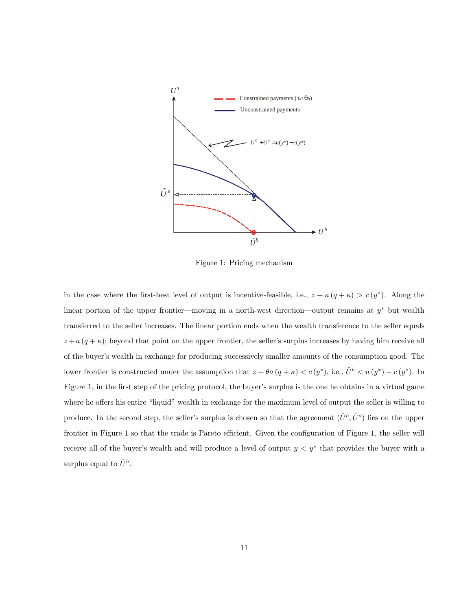

Figure 1: Pricing mechanism

in the case where the first-best level of output is incentive-feasible, i.e.,  $z + a(q + \kappa) > c(y^*)$ . Along the linear portion of the upper frontier—moving in a north-west direction—output remains at  $y^*$  but wealth transferred to the seller increases. The linear portion ends when the wealth transference to the seller equals  $z + a (q + \kappa)$ ; beyond that point on the upper frontier, the seller's surplus increases by having him receive all of the buyerís wealth in exchange for producing successively smaller amounts of the consumption good. The lower frontier is constructed under the assumption that  $z + \theta a (q + \kappa) < c (y^*)$ , i.e.,  $\hat{U}^b < u (y^*) - c (y^*)$ . In Figure 1, in the first step of the pricing protocol, the buyer's surplus is the one he obtains in a virtual game where he offers his entire "liquid" wealth in exchange for the maximum level of output the seller is willing to produce. In the second step, the seller's surplus is chosen so that the agreement  $(\hat{U}^b, \hat{U}^s)$  lies on the upper frontier in Figure 1 so that the trade is Pareto efficient. Given the configuration of Figure 1, the seller will receive all of the buyer's wealth and will produce a level of output  $y < y^*$  that provides the buyer with a surplus equal to  $\hat{U}^{b}$ .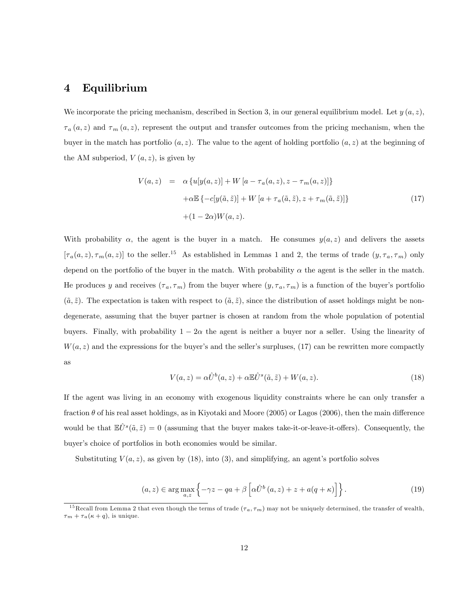#### 4 Equilibrium

We incorporate the pricing mechanism, described in Section 3, in our general equilibrium model. Let  $y(a, z)$ ,  $\tau_a(a, z)$  and  $\tau_m(a, z)$ , represent the output and transfer outcomes from the pricing mechanism, when the buyer in the match has portfolio  $(a, z)$ . The value to the agent of holding portfolio  $(a, z)$  at the beginning of the AM subperiod,  $V(a, z)$ , is given by

$$
V(a, z) = \alpha \{ u[y(a, z)] + W[a - \tau_a(a, z), z - \tau_m(a, z)] \}
$$
  
+ $\alpha \mathbb{E} \{-c[y(\tilde{a}, \tilde{z})] + W[a + \tau_a(\tilde{a}, \tilde{z}), z + \tau_m(\tilde{a}, \tilde{z})] \}$   
+ $(1 - 2\alpha)W(a, z).$  (17)

With probability  $\alpha$ , the agent is the buyer in a match. He consumes  $y(a, z)$  and delivers the assets  $[\tau_a(a,z), \tau_m(a,z)]$  to the seller.<sup>15</sup> As established in Lemmas 1 and 2, the terms of trade  $(y, \tau_a, \tau_m)$  only depend on the portfolio of the buyer in the match. With probability  $\alpha$  the agent is the seller in the match. He produces y and receives  $(\tau_a, \tau_m)$  from the buyer where  $(y, \tau_a, \tau_m)$  is a function of the buyer's portfolio  $(\tilde{a}, \tilde{z})$ . The expectation is taken with respect to  $(\tilde{a}, \tilde{z})$ , since the distribution of asset holdings might be nondegenerate, assuming that the buyer partner is chosen at random from the whole population of potential buyers. Finally, with probability  $1 - 2\alpha$  the agent is neither a buyer nor a seller. Using the linearity of  $W(a, z)$  and the expressions for the buyer's and the seller's surpluses, (17) can be rewritten more compactly as

$$
V(a,z) = \alpha \hat{U}^b(a,z) + \alpha \mathbb{E} \hat{U}^s(\tilde{a},\tilde{z}) + W(a,z).
$$
\n(18)

If the agent was living in an economy with exogenous liquidity constraints where he can only transfer a fraction  $\theta$  of his real asset holdings, as in Kiyotaki and Moore (2005) or Lagos (2006), then the main difference would be that  $\mathbb{E}\hat{U}^s(\tilde{a},\tilde{z}) = 0$  (assuming that the buyer makes take-it-or-leave-it-offers). Consequently, the buyer's choice of portfolios in both economies would be similar.

Substituting  $V(a, z)$ , as given by (18), into (3), and simplifying, an agent's portfolio solves

$$
(a, z) \in \arg\max_{a, z} \left\{ -\gamma z - qa + \beta \left[ \alpha \hat{U}^b(a, z) + z + a(q + \kappa) \right] \right\}.
$$
 (19)

<sup>&</sup>lt;sup>15</sup>Recall from Lemma 2 that even though the terms of trade  $(\tau_a, \tau_m)$  may not be uniquely determined, the transfer of wealth,  $\tau_m + \tau_a(\kappa + q)$ , is unique.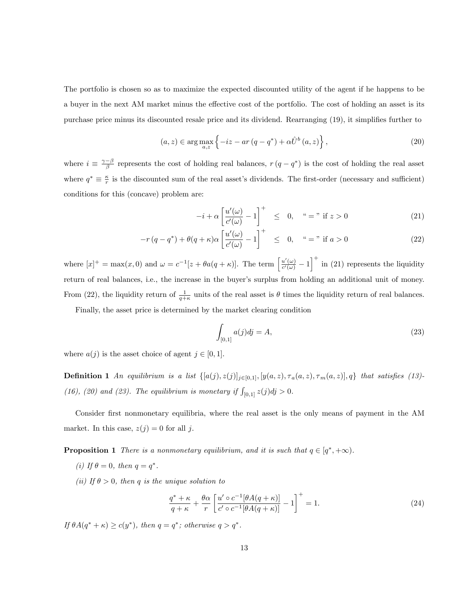The portfolio is chosen so as to maximize the expected discounted utility of the agent if he happens to be a buyer in the next AM market minus the effective cost of the portfolio. The cost of holding an asset is its purchase price minus its discounted resale price and its dividend. Rearranging (19), it simplifies further to

$$
(a, z) \in \arg\max_{a, z} \left\{ -iz - ar\left(q - q^*\right) + \alpha \hat{U}^b\left(a, z\right) \right\},\tag{20}
$$

where  $i \equiv \frac{\gamma-\beta}{\beta}$  represents the cost of holding real balances,  $r(q-q^*)$  is the cost of holding the real asset where  $q^* \equiv \frac{\kappa}{r}$  is the discounted sum of the real asset's dividends. The first-order (necessary and sufficient) conditions for this (concave) problem are:

$$
-i + \alpha \left[ \frac{u'(\omega)}{c'(\omega)} - 1 \right]^+ \leq 0, \quad \text{``} = \text{" if } z > 0 \tag{21}
$$

$$
-r(q - q^*) + \theta(q + \kappa)\alpha \left[\frac{u'(\omega)}{c'(\omega)} - 1\right]^+ \leq 0, \quad \zeta = \eta \text{ if } a > 0
$$
 (22)

where  $[x]^+ = \max(x,0)$  and  $\omega = c^{-1}[z + \theta a(q+\kappa)].$  The term  $\left[\frac{u'(\omega)}{c'(\omega)}\right]$  $\frac{u'(\omega)}{c'(\omega)} - 1\bigg]^{+}$  in (21) represents the liquidity return of real balances, i.e., the increase in the buyer's surplus from holding an additional unit of money. From (22), the liquidity return of  $\frac{1}{q+\kappa}$  units of the real asset is  $\theta$  times the liquidity return of real balances.

Finally, the asset price is determined by the market clearing condition

$$
\int_{[0,1]} a(j)dj = A,\tag{23}
$$

where  $a(j)$  is the asset choice of agent  $j \in [0, 1]$ .

**Definition 1** An equilibrium is a list  $\{[a(j), z(j)]_{j\in[0,1]}, [y(a,z), \tau_a(a,z), \tau_m(a,z)], q\}$  that satisfies (13)-(16), (20) and (23). The equilibrium is monetary if  $\int_{[0,1]} z(j)dj > 0$ .

Consider first nonmonetary equilibria, where the real asset is the only means of payment in the AM market. In this case,  $z(j) = 0$  for all j.

**Proposition 1** There is a nonmonetary equilibrium, and it is such that  $q \in [q^*, +\infty)$ .

- (i) If  $\theta = 0$ , then  $q = q^*$ .
- (ii) If  $\theta > 0$ , then q is the unique solution to

$$
\frac{q^* + \kappa}{q + \kappa} + \frac{\theta \alpha}{r} \left[ \frac{u' \circ c^{-1} [\theta A(q + \kappa)]}{c' \circ c^{-1} [\theta A(q + \kappa)]} - 1 \right]^+ = 1.
$$
\n(24)

If  $\theta A(q^* + \kappa) \ge c(y^*)$ , then  $q = q^*$ ; otherwise  $q > q^*$ .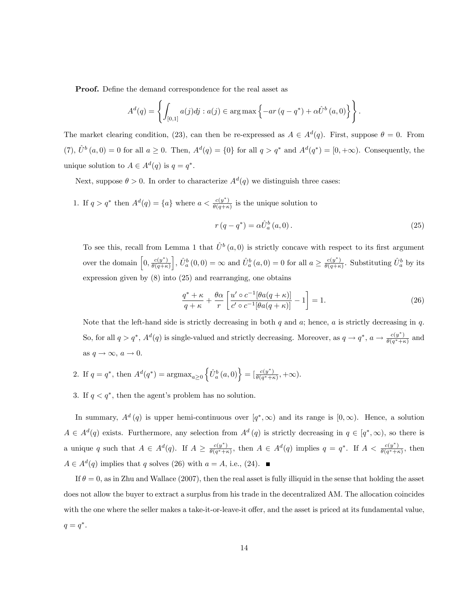Proof. Define the demand correspondence for the real asset as

$$
A^{d}(q) = \left\{ \int_{[0,1]} a(j)dj : a(j) \in \arg \max \left\{ -ar \left( q - q^* \right) + \alpha \hat{U}^b \left( a, 0 \right) \right\} \right\}.
$$

The market clearing condition, (23), can then be re-expressed as  $A \in A<sup>d</sup>(q)$ . First, suppose  $\theta = 0$ . From (7),  $\hat{U}^b(a, 0) = 0$  for all  $a \ge 0$ . Then,  $A^d(q) = \{0\}$  for all  $q > q^*$  and  $A^d(q^*) = [0, +\infty)$ . Consequently, the unique solution to  $A \in A^d(q)$  is  $q = q^*$ .

Next, suppose  $\theta > 0$ . In order to characterize  $A<sup>d</sup>(q)$  we distinguish three cases:

1. If  $q > q^*$  then  $A^d(q) = \{a\}$  where  $a < \frac{c(y^*)}{\theta(q+\kappa)}$  $\frac{c(y)}{\theta(q+\kappa)}$  is the unique solution to

$$
r(q - q^*) = \alpha \hat{U}_a^b(a, 0). \tag{25}
$$

To see this, recall from Lemma 1 that  $\hat{U}^b(a, 0)$  is strictly concave with respect to its first argument over the domain  $\left[0, \frac{c(y^*)}{\theta(a+r)}\right]$  $\theta(q+\kappa)$ ,  $\hat{U}_a^b(0,0) = \infty$  and  $\hat{U}_a^b(a,0) = 0$  for all  $a \geq \frac{c(y^*)}{\theta(q+\kappa)}$  $\frac{c(y^*)}{\theta(q+\kappa)}$ . Substituting  $\hat{U}^b_a$  by its expression given by (8) into (25) and rearranging, one obtains

$$
\frac{q^* + \kappa}{q + \kappa} + \frac{\theta \alpha}{r} \left[ \frac{u' \circ c^{-1} [\theta a(q + \kappa)]}{c' \circ c^{-1} [\theta a(q + \kappa)]} - 1 \right] = 1.
$$
\n(26)

Note that the left-hand side is strictly decreasing in both  $q$  and  $q$ ; hence,  $q$  is strictly decreasing in  $q$ . So, for all  $q > q^*$ ,  $A^d(q)$  is single-valued and strictly decreasing. Moreover, as  $q \to q^*$ ,  $a \to \frac{c(y^*)}{\theta(q^* + r^*)}$  $\frac{c(y)}{\theta(q^*+\kappa)}$  and as  $q \to \infty$ ,  $a \to 0$ .

- 2. If  $q = q^*$ , then  $A^d(q^*) = \text{argmax}_{a \geq 0} \left\{ \hat{U}_a^b(a, 0) \right\} = \left[ \frac{c(y^*)}{\theta(q^* + r^*)} \right]$  $\frac{c(y)}{\theta(q^*+\kappa)},+\infty).$
- 3. If  $q < q^*$ , then the agent's problem has no solution.

In summary,  $A^d(q)$  is upper hemi-continuous over  $[q^*,\infty)$  and its range is  $[0,\infty)$ . Hence, a solution  $A \in A^d(q)$  exists. Furthermore, any selection from  $A^d(q)$  is strictly decreasing in  $q \in [q^*, \infty)$ , so there is a unique q such that  $A \in A^d(q)$ . If  $A \geq \frac{c(y^*)}{\theta(q^* + b)}$  $\frac{c(y^*)}{\theta(q^*+\kappa)}$ , then  $A \in A^d(q)$  implies  $q = q^*$ . If  $A < \frac{c(y^*)}{\theta(q^*+\kappa)}$  $\frac{c(y)}{\theta(q^*+\kappa)}$ , then  $A \in A<sup>d</sup>(q)$  implies that q solves (26) with  $a = A$ , i.e., (24).

If  $\theta = 0$ , as in Zhu and Wallace (2007), then the real asset is fully illiquid in the sense that holding the asset does not allow the buyer to extract a surplus from his trade in the decentralized AM. The allocation coincides with the one where the seller makes a take-it-or-leave-it offer, and the asset is priced at its fundamental value,  $q=q^*$ .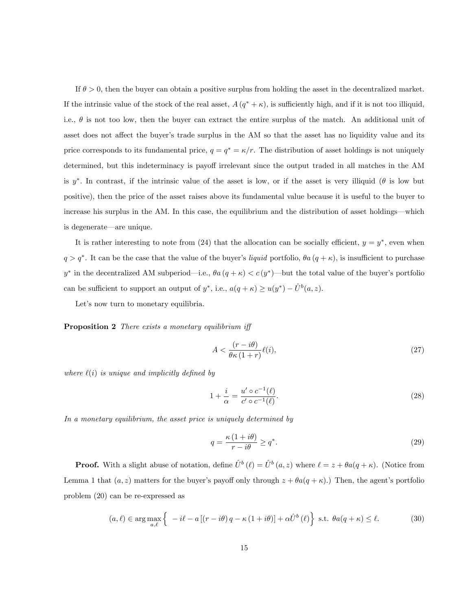If  $\theta > 0$ , then the buyer can obtain a positive surplus from holding the asset in the decentralized market. If the intrinsic value of the stock of the real asset,  $A(q^* + \kappa)$ , is sufficiently high, and if it is not too illiquid, i.e.,  $\theta$  is not too low, then the buyer can extract the entire surplus of the match. An additional unit of asset does not affect the buyer's trade surplus in the AM so that the asset has no liquidity value and its price corresponds to its fundamental price,  $q = q^* = \kappa/r$ . The distribution of asset holdings is not uniquely determined, but this indeterminacy is payoff irrelevant since the output traded in all matches in the AM is y<sup>\*</sup>. In contrast, if the intrinsic value of the asset is low, or if the asset is very illiquid ( $\theta$  is low but positive), then the price of the asset raises above its fundamental value because it is useful to the buyer to increase his surplus in the AM. In this case, the equilibrium and the distribution of asset holdings—which is degenerate—are unique.

It is rather interesting to note from  $(24)$  that the allocation can be socially efficient,  $y = y^*$ , even when  $q > q^*$ . It can be the case that the value of the buyer's liquid portfolio,  $\theta a (q + \kappa)$ , is insufficient to purchase y<sup>\*</sup> in the decentralized AM subperiod—i.e.,  $\theta a (q + \kappa) < c (y^*)$ —but the total value of the buyer's portfolio can be sufficient to support an output of  $y^*$ , i.e.,  $a(q + \kappa) \ge u(y^*) - \hat{U}^b(a, z)$ .

Let's now turn to monetary equilibria.

Proposition 2 There exists a monetary equilibrium iff

$$
A < \frac{(r - i\theta)}{\theta \kappa \left(1 + r\right)} \ell(i),\tag{27}
$$

where  $\ell(i)$  is unique and implicitly defined by

$$
1 + \frac{i}{\alpha} = \frac{u' \circ c^{-1}(\ell)}{c' \circ c^{-1}(\ell)}.
$$
\n
$$
(28)
$$

In a monetary equilibrium, the asset price is uniquely determined by

$$
q = \frac{\kappa \left(1 + i\theta\right)}{r - i\theta} \ge q^*.\tag{29}
$$

**Proof.** With a slight abuse of notation, define  $\hat{U}^b (\ell) = \hat{U}^b (a, z)$  where  $\ell = z + \theta a(q + \kappa)$ . (Notice from Lemma 1 that  $(a, z)$  matters for the buyer's payoff only through  $z + \theta a(q + \kappa)$ .) Then, the agent's portfolio problem (20) can be re-expressed as

$$
(a,\ell) \in \arg\max_{a,\ell} \left\{ -i\ell - a\left[ (r - i\theta)q - \kappa\left(1 + i\theta\right) \right] + \alpha \hat{U}^b(\ell) \right\} \text{ s.t. } \theta a(q + \kappa) \le \ell. \tag{30}
$$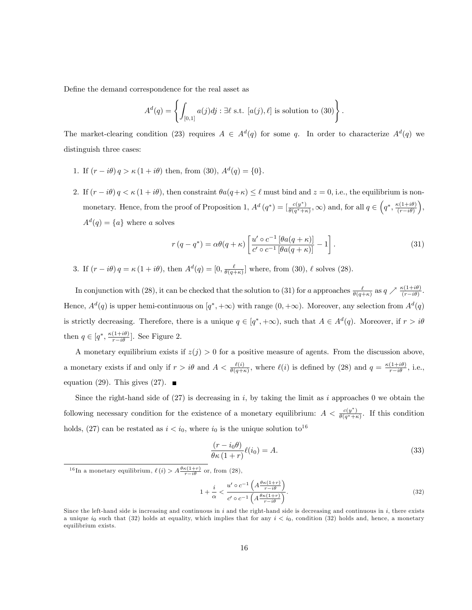Define the demand correspondence for the real asset as

$$
A^{d}(q) = \left\{ \int_{[0,1]} a(j)dj : \exists \ell \text{ s.t. } [a(j), \ell] \text{ is solution to (30)} \right\}.
$$

The market-clearing condition (23) requires  $A \in A<sup>d</sup>(q)$  for some q. In order to characterize  $A<sup>d</sup>(q)$  we distinguish three cases:

- 1. If  $(r i\theta) q > \kappa (1 + i\theta)$  then, from (30),  $A^d(q) = \{0\}.$
- 2. If  $(r i\theta) q < \kappa (1 + i\theta)$ , then constraint  $\theta a(q + \kappa) \leq \ell$  must bind and  $z = 0$ , i.e., the equilibrium is nonmonetary. Hence, from the proof of Proposition 1,  $A^d(q^*) = \left[\frac{c(y^*)}{\theta(q^*)+1}\right]$  $\frac{c(y^*)}{\theta(q^*+\kappa)}, \infty$  and, for all  $q \in \left(q^*, \frac{\kappa(1+i\theta)}{(r-i\theta)}\right)$  $(r-i\theta)$  ,  $A^d(q) = \{a\}$  where a solves

$$
r(q - q^*) = \alpha \theta(q + \kappa) \left[ \frac{u' \circ c^{-1} \left[ \theta a(q + \kappa) \right]}{c' \circ c^{-1} \left[ \theta a(q + \kappa) \right]} - 1 \right]. \tag{31}
$$

3. If  $(r - i\theta) q = \kappa (1 + i\theta)$ , then  $A^d(q) = [0, \frac{\ell}{\theta(q + \kappa)}]$  where, from (30),  $\ell$  solves (28).

In conjunction with (28), it can be checked that the solution to (31) for a approaches  $\frac{\ell}{\theta(q+\kappa)}$  as  $q \nearrow \frac{\kappa(1+i\theta)}{(r-i\theta)}$ . Hence,  $A^d(q)$  is upper hemi-continuous on  $[q^*, +\infty)$  with range  $(0, +\infty)$ . Moreover, any selection from  $A^d(q)$ is strictly decreasing. Therefore, there is a unique  $q \in [q^*, +\infty)$ , such that  $A \in A^d(q)$ . Moreover, if  $r > i\theta$ then  $q \in [q^*, \frac{\kappa(1+i\theta)}{r-i\theta}]$ . See Figure 2.

A monetary equilibrium exists if  $z(j) > 0$  for a positive measure of agents. From the discussion above, a monetary exists if and only if  $r > i\theta$  and  $A < \frac{\ell(i)}{\theta(q+\kappa)}$ , where  $\ell(i)$  is defined by (28) and  $q = \frac{\kappa(1+i\theta)}{r-i\theta}$ , i.e., equation (29). This gives (27).  $\blacksquare$ 

Since the right-hand side of  $(27)$  is decreasing in i, by taking the limit as i approaches 0 we obtain the following necessary condition for the existence of a monetary equilibrium:  $A < \frac{c(y^*)}{\theta(a^*)+1}$  $\frac{c(y)}{\theta(q^*+\kappa)}$ . If this condition holds, (27) can be restated as  $i < i_0$ , where  $i_0$  is the unique solution to<sup>16</sup>

$$
\frac{(r - i_0 \theta)}{\theta \kappa (1 + r)} \ell(i_0) = A.
$$
\n(33)

<sup>16</sup>In a monetary equilibrium,  $\ell(i) > A \frac{\theta \kappa(1+r)}{r-i\theta}$  or, from (28),

$$
1 + \frac{i}{\alpha} < \frac{u' \circ c^{-1} \left( A \frac{\theta \kappa (1+r)}{r-i\theta} \right)}{c' \circ c^{-1} \left( A \frac{\theta \kappa (1+r)}{r-i\theta} \right)}.
$$
\n
$$
\tag{32}
$$

Since the left-hand side is increasing and continuous in  $i$  and the right-hand side is decreasing and continuous in  $i$ , there exists a unique  $i_0$  such that (32) holds at equality, which implies that for any  $i < i_0$ , condition (32) holds and, hence, a monetary equilibrium exists.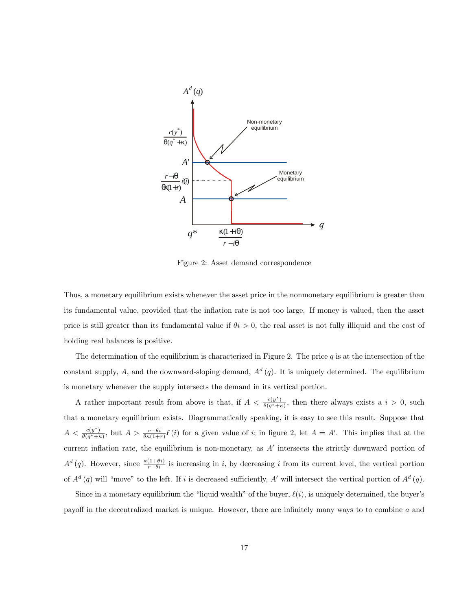

Figure 2: Asset demand correspondence

Thus, a monetary equilibrium exists whenever the asset price in the nonmonetary equilibrium is greater than its fundamental value, provided that the inflation rate is not too large. If money is valued, then the asset price is still greater than its fundamental value if  $\theta i > 0$ , the real asset is not fully illiquid and the cost of holding real balances is positive.

The determination of the equilibrium is characterized in Figure 2. The price  $q$  is at the intersection of the constant supply, A, and the downward-sloping demand,  $A<sup>d</sup>(q)$ . It is uniquely determined. The equilibrium is monetary whenever the supply intersects the demand in its vertical portion.

A rather important result from above is that, if  $A < \frac{c(y^*)}{\theta(a^*)+1}$  $\frac{c(y)}{\theta(q^*+\kappa)}$ , then there always exists a  $i > 0$ , such that a monetary equilibrium exists. Diagrammatically speaking, it is easy to see this result. Suppose that  $A < \frac{c(y^*)}{\theta(a^* + b^*)}$  $\frac{c(y^*)}{\theta(q^*+\kappa)}$ , but  $A > \frac{r-\theta i}{\theta\kappa(1+r)}\ell(i)$  for a given value of i; in figure 2, let  $A = A'$ . This implies that at the current inflation rate, the equilibrium is non-monetary, as  $A'$  intersects the strictly downward portion of  $A^d(q)$ . However, since  $\frac{\kappa(1+\theta i)}{r-\theta i}$  is increasing in i, by decreasing i from its current level, the vertical portion of  $A^d(q)$  will "move" to the left. If i is decreased sufficiently, A' will intersect the vertical portion of  $A^d(q)$ .

Since in a monetary equilibrium the "liquid wealth" of the buyer,  $\ell(i)$ , is uniquely determined, the buyer's payoff in the decentralized market is unique. However, there are infinitely many ways to to combine  $a$  and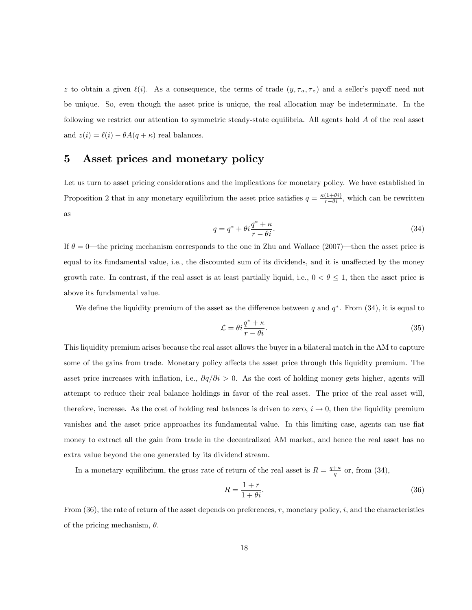z to obtain a given  $\ell(i)$ . As a consequence, the terms of trade  $(y, \tau_a, \tau_z)$  and a seller's payoff need not be unique. So, even though the asset price is unique, the real allocation may be indeterminate. In the following we restrict our attention to symmetric steady-state equilibria. All agents hold A of the real asset and  $z(i) = \ell(i) - \theta A(q + \kappa)$  real balances.

## 5 Asset prices and monetary policy

Let us turn to asset pricing considerations and the implications for monetary policy. We have established in Proposition 2 that in any monetary equilibrium the asset price satisfies  $q = \frac{\kappa(1+\theta i)}{r-\theta i}$ , which can be rewritten as

$$
q = q^* + \theta i \frac{q^* + \kappa}{r - \theta i}.\tag{34}
$$

If  $\theta = 0$ —the pricing mechanism corresponds to the one in Zhu and Wallace (2007)—then the asset price is equal to its fundamental value, i.e., the discounted sum of its dividends, and it is unaffected by the money growth rate. In contrast, if the real asset is at least partially liquid, i.e.,  $0 < \theta \le 1$ , then the asset price is above its fundamental value.

We define the liquidity premium of the asset as the difference between q and  $q^*$ . From (34), it is equal to

$$
\mathcal{L} = \theta i \frac{q^* + \kappa}{r - \theta i}.\tag{35}
$$

This liquidity premium arises because the real asset allows the buyer in a bilateral match in the AM to capture some of the gains from trade. Monetary policy affects the asset price through this liquidity premium. The asset price increases with inflation, i.e.,  $\partial q/\partial i > 0$ . As the cost of holding money gets higher, agents will attempt to reduce their real balance holdings in favor of the real asset. The price of the real asset will, therefore, increase. As the cost of holding real balances is driven to zero,  $i \to 0$ , then the liquidity premium vanishes and the asset price approaches its fundamental value. In this limiting case, agents can use fiat money to extract all the gain from trade in the decentralized AM market, and hence the real asset has no extra value beyond the one generated by its dividend stream.

In a monetary equilibrium, the gross rate of return of the real asset is  $R = \frac{q+\kappa}{q}$  or, from (34),

$$
R = \frac{1+r}{1+\theta i}.\tag{36}
$$

From  $(36)$ , the rate of return of the asset depends on preferences, r, monetary policy, i, and the characteristics of the pricing mechanism,  $\theta$ .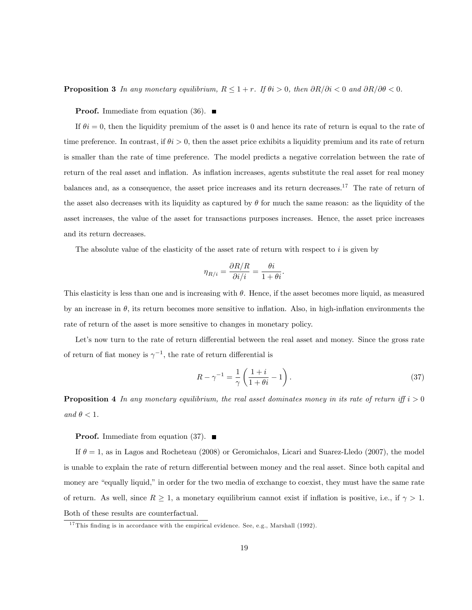**Proposition 3** In any monetary equilibrium,  $R \leq 1 + r$ . If  $\theta i > 0$ , then  $\partial R/\partial i < 0$  and  $\partial R/\partial \theta < 0$ .

**Proof.** Immediate from equation (36).  $\blacksquare$ 

If  $\theta i = 0$ , then the liquidity premium of the asset is 0 and hence its rate of return is equal to the rate of time preference. In contrast, if  $\theta i > 0$ , then the asset price exhibits a liquidity premium and its rate of return is smaller than the rate of time preference. The model predicts a negative correlation between the rate of return of the real asset and inflation. As inflation increases, agents substitute the real asset for real money balances and, as a consequence, the asset price increases and its return decreases.<sup>17</sup> The rate of return of the asset also decreases with its liquidity as captured by  $\theta$  for much the same reason: as the liquidity of the asset increases, the value of the asset for transactions purposes increases. Hence, the asset price increases and its return decreases.

The absolute value of the elasticity of the asset rate of return with respect to i is given by

$$
\eta_{R/i} = \frac{\partial R/R}{\partial i/i} = \frac{\theta i}{1 + \theta i}.
$$

This elasticity is less than one and is increasing with  $\theta$ . Hence, if the asset becomes more liquid, as measured by an increase in  $\theta$ , its return becomes more sensitive to inflation. Also, in high-inflation environments the rate of return of the asset is more sensitive to changes in monetary policy.

Let's now turn to the rate of return differential between the real asset and money. Since the gross rate of return of fiat money is  $\gamma^{-1}$ , the rate of return differential is

$$
R - \gamma^{-1} = \frac{1}{\gamma} \left( \frac{1+i}{1+\theta i} - 1 \right). \tag{37}
$$

**Proposition 4** In any monetary equilibrium, the real asset dominates money in its rate of return iff  $i > 0$ and  $\theta < 1$ .

#### **Proof.** Immediate from equation (37).  $\blacksquare$

If  $\theta = 1$ , as in Lagos and Rocheteau (2008) or Geromichalos, Licari and Suarez-Lledo (2007), the model is unable to explain the rate of return differential between money and the real asset. Since both capital and money are "equally liquid," in order for the two media of exchange to coexist, they must have the same rate of return. As well, since  $R \geq 1$ , a monetary equilibrium cannot exist if inflation is positive, i.e., if  $\gamma > 1$ . Both of these results are counterfactual.

<sup>&</sup>lt;sup>17</sup> This finding is in accordance with the empirical evidence. See, e.g., Marshall (1992).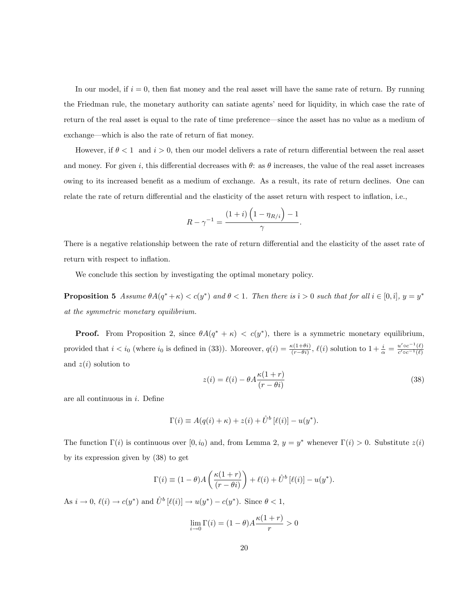In our model, if  $i = 0$ , then fiat money and the real asset will have the same rate of return. By running the Friedman rule, the monetary authority can satiate agents' need for liquidity, in which case the rate of return of the real asset is equal to the rate of time preference—since the asset has no value as a medium of exchange—which is also the rate of return of fiat money.

However, if  $\theta < 1$  and  $i > 0$ , then our model delivers a rate of return differential between the real asset and money. For given i, this differential decreases with  $\theta$ : as  $\theta$  increases, the value of the real asset increases owing to its increased benefit as a medium of exchange. As a result, its rate of return declines. One can relate the rate of return differential and the elasticity of the asset return with respect to inflation, i.e.,

$$
R - \gamma^{-1} = \frac{(1+i)\left(1 - \eta_{R/i}\right) - 1}{\gamma}.
$$

There is a negative relationship between the rate of return differential and the elasticity of the asset rate of return with respect to inflation.

We conclude this section by investigating the optimal monetary policy.

**Proposition 5** Assume  $\theta A(q^* + \kappa) < c(y^*)$  and  $\theta < 1$ . Then there is  $\hat{i} > 0$  such that for all  $i \in [0, \hat{i}], y = y^*$ at the symmetric monetary equilibrium.

**Proof.** From Proposition 2, since  $\theta A(q^* + \kappa) < c(y^*)$ , there is a symmetric monetary equilibrium, provided that  $i < i_0$  (where  $i_0$  is defined in (33)). Moreover,  $q(i) = \frac{\kappa(1+\theta i)}{(r-\theta i)}$ ,  $\ell(i)$  solution to  $1 + \frac{i}{\alpha} = \frac{u' \circ c^{-1}(\ell)}{c' \circ c^{-1}(\ell)}$  $c' \circ c^{-1}(\ell)$ and  $z(i)$  solution to

$$
z(i) = \ell(i) - \theta A \frac{\kappa(1+r)}{(r-\theta i)}
$$
\n(38)

are all continuous in  $i$ . Define

$$
\Gamma(i) \equiv A(q(i) + \kappa) + z(i) + \hat{U}^b [\ell(i)] - u(y^*).
$$

The function  $\Gamma(i)$  is continuous over  $[0, i_0)$  and, from Lemma 2,  $y = y^*$  whenever  $\Gamma(i) > 0$ . Substitute  $z(i)$ by its expression given by (38) to get

$$
\Gamma(i) \equiv (1 - \theta)A\left(\frac{\kappa(1+r)}{(r - \theta i)}\right) + \ell(i) + \hat{U}^b [\ell(i)] - u(y^*).
$$

As  $i \to 0$ ,  $\ell(i) \to c(y^*)$  and  $\hat{U}^b [\ell(i)] \to u(y^*) - c(y^*)$ . Since  $\theta < 1$ ,

$$
\lim_{i \to 0} \Gamma(i) = (1 - \theta) A \frac{\kappa(1+r)}{r} > 0
$$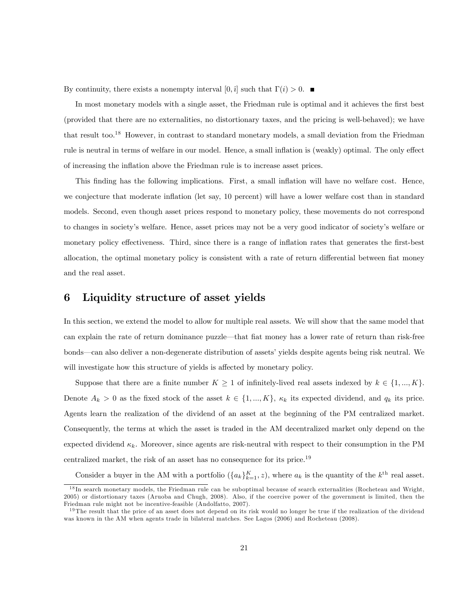By continuity, there exists a nonempty interval  $[0,\hat{i}]$  such that  $\Gamma(i) > 0$ .

In most monetary models with a single asset, the Friedman rule is optimal and it achieves the first best (provided that there are no externalities, no distortionary taxes, and the pricing is well-behaved); we have that result too.<sup>18</sup> However, in contrast to standard monetary models, a small deviation from the Friedman rule is neutral in terms of welfare in our model. Hence, a small inflation is (weakly) optimal. The only effect of increasing the inflation above the Friedman rule is to increase asset prices.

This finding has the following implications. First, a small inflation will have no welfare cost. Hence, we conjecture that moderate inflation (let say, 10 percent) will have a lower welfare cost than in standard models. Second, even though asset prices respond to monetary policy, these movements do not correspond to changes in societyís welfare. Hence, asset prices may not be a very good indicator of societyís welfare or monetary policy effectiveness. Third, since there is a range of inflation rates that generates the first-best allocation, the optimal monetary policy is consistent with a rate of return differential between fiat money and the real asset.

#### 6 Liquidity structure of asset yields

In this section, we extend the model to allow for multiple real assets. We will show that the same model that can explain the rate of return dominance puzzle—that flat money has a lower rate of return than risk-free bonds—can also deliver a non-degenerate distribution of assets' yields despite agents being risk neutral. We will investigate how this structure of yields is affected by monetary policy.

Suppose that there are a finite number  $K \geq 1$  of infinitely-lived real assets indexed by  $k \in \{1, ..., K\}$ . Denote  $A_k > 0$  as the fixed stock of the asset  $k \in \{1, ..., K\}$ ,  $\kappa_k$  its expected dividend, and  $q_k$  its price. Agents learn the realization of the dividend of an asset at the beginning of the PM centralized market. Consequently, the terms at which the asset is traded in the AM decentralized market only depend on the expected dividend  $\kappa_k$ . Moreover, since agents are risk-neutral with respect to their consumption in the PM centralized market, the risk of an asset has no consequence for its price.<sup>19</sup>

Consider a buyer in the AM with a portfolio  $({a_k}_{k=1}^K, z)$ , where  $a_k$  is the quantity of the  $k^{\text{th}}$  real asset.

<sup>&</sup>lt;sup>18</sup> In search monetary models, the Friedman rule can be suboptimal because of search externalities (Rocheteau and Wright, 2005) or distortionary taxes (Aruoba and Chugh, 2008). Also, if the coercive power of the government is limited, then the Friedman rule might not be incentive-feasible (Andolfatto, 2007).

<sup>&</sup>lt;sup>19</sup> The result that the price of an asset does not depend on its risk would no longer be true if the realization of the dividend was known in the AM when agents trade in bilateral matches. See Lagos (2006) and Rocheteau (2008).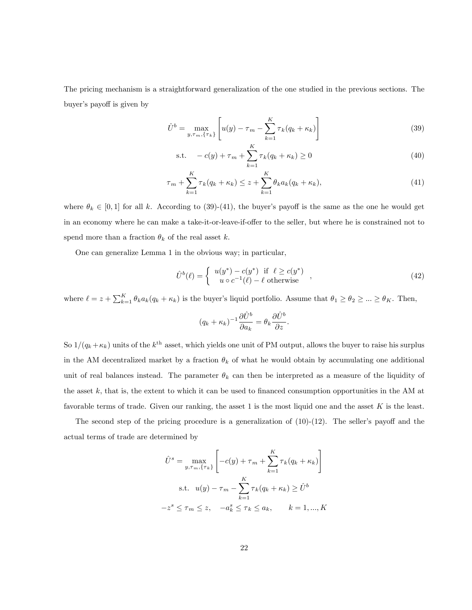The pricing mechanism is a straightforward generalization of the one studied in the previous sections. The buyer's payoff is given by

$$
\hat{U}^{b} = \max_{y,\tau_{m},\{\tau_{k}\}} \left[ u(y) - \tau_{m} - \sum_{k=1}^{K} \tau_{k}(q_{k} + \kappa_{k}) \right]
$$
\n(39)

s.t. 
$$
-c(y) + \tau_m + \sum_{k=1}^{K} \tau_k (q_k + \kappa_k) \ge 0
$$
 (40)

$$
\tau_m + \sum_{k=1}^{K} \tau_k (q_k + \kappa_k) \le z + \sum_{k=1}^{K} \theta_k a_k (q_k + \kappa_k), \tag{41}
$$

where  $\theta_k \in [0, 1]$  for all k. According to (39)-(41), the buyer's payoff is the same as the one he would get in an economy where he can make a take-it-or-leave-if-offer to the seller, but where he is constrained not to spend more than a fraction  $\theta_k$  of the real asset k.

One can generalize Lemma 1 in the obvious way; in particular,

$$
\hat{U}^{b}(\ell) = \begin{cases}\nu(y^*) - c(y^*) & \text{if } \ell \ge c(y^*)\\ u \circ c^{-1}(\ell) - \ell \text{ otherwise} \end{cases},\tag{42}
$$

where  $\ell = z + \sum_{k=1}^{K} \theta_k a_k (q_k + \kappa_k)$  is the buyer's liquid portfolio. Assume that  $\theta_1 \ge \theta_2 \ge ... \ge \theta_K$ . Then,

$$
(q_k + \kappa_k)^{-1} \frac{\partial \hat{U}^b}{\partial a_k} = \theta_k \frac{\partial \hat{U}^b}{\partial z}.
$$

So  $1/(q_k + \kappa_k)$  units of the  $k^{\text{th}}$  asset, which yields one unit of PM output, allows the buyer to raise his surplus in the AM decentralized market by a fraction  $\theta_k$  of what he would obtain by accumulating one additional unit of real balances instead. The parameter  $\theta_k$  can then be interpreted as a measure of the liquidity of the asset  $k$ , that is, the extent to which it can be used to financed consumption opportunities in the AM at favorable terms of trade. Given our ranking, the asset 1 is the most liquid one and the asset  $K$  is the least.

The second step of the pricing procedure is a generalization of  $(10)-(12)$ . The seller's payoff and the actual terms of trade are determined by

$$
\hat{U}^s = \max_{y, \tau_m, \{\tau_k\}} \left[ -c(y) + \tau_m + \sum_{k=1}^K \tau_k (q_k + \kappa_k) \right]
$$
  
s.t.  $u(y) - \tau_m - \sum_{k=1}^K \tau_k (q_k + \kappa_k) \ge \hat{U}^b$   
 $-z^s \le \tau_m \le z, \quad -a_k^s \le \tau_k \le a_k, \quad k = 1, ..., K$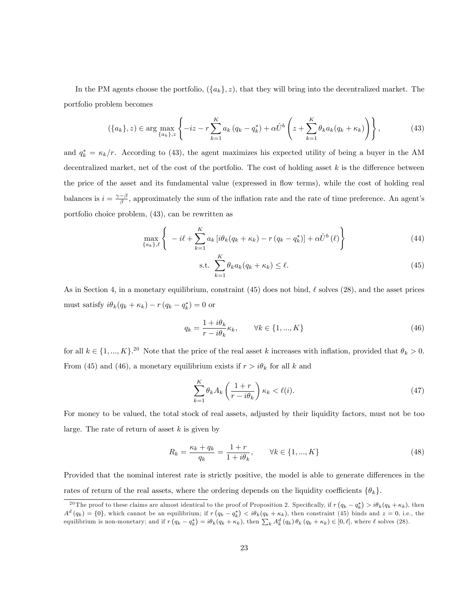In the PM agents choose the portfolio,  $({a_k}, z)$ , that they will bring into the decentralized market. The portfolio problem becomes

$$
(\{a_k\}, z) \in \arg\max_{\{a_k\}, z} \left\{-iz - r\sum_{k=1}^K a_k (q_k - q_k^*) + \alpha \hat{U}^b \left(z + \sum_{k=1}^K \theta_k a_k (q_k + \kappa_k)\right)\right\},\tag{43}
$$

and  $q_k^* = \kappa_k/r$ . According to (43), the agent maximizes his expected utility of being a buyer in the AM decentralized market, net of the cost of the portfolio. The cost of holding asset  $k$  is the difference between the price of the asset and its fundamental value (expressed in áow terms), while the cost of holding real balances is  $i = \frac{\gamma - \beta}{\beta}$ , approximately the sum of the inflation rate and the rate of time preference. An agent's portfolio choice problem, (43), can be rewritten as

$$
\max_{\{a_k\},\ell} \left\{ -i\ell + \sum_{k=1}^K a_k \left[ i\theta_k (q_k + \kappa_k) - r (q_k - q_k^*) \right] + \alpha \hat{U}^b(\ell) \right\} \tag{44}
$$

$$
\text{s.t. } \sum_{k=1}^{K} \theta_k a_k (q_k + \kappa_k) \le \ell. \tag{45}
$$

As in Section 4, in a monetary equilibrium, constraint (45) does not bind,  $\ell$  solves (28), and the asset prices must satisfy  $i\theta_k(q_k + \kappa_k) - r(q_k - q_k^*) = 0$  or

$$
q_k = \frac{1 + i\theta_k}{r - i\theta_k} \kappa_k, \qquad \forall k \in \{1, ..., K\}
$$
\n
$$
(46)
$$

for all  $k \in \{1, ..., K\}$ .<sup>20</sup> Note that the price of the real asset k increases with inflation, provided that  $\theta_k > 0$ . From (45) and (46), a monetary equilibrium exists if  $r > i\theta_k$  for all k and

$$
\sum_{k=1}^{K} \theta_k A_k \left( \frac{1+r}{r - i\theta_k} \right) \kappa_k < \ell(i). \tag{47}
$$

For money to be valued, the total stock of real assets, adjusted by their liquidity factors, must not be too large. The rate of return of asset  $k$  is given by

$$
R_k = \frac{\kappa_k + q_k}{q_k} = \frac{1+r}{1+i\theta_k}, \qquad \forall k \in \{1, ..., K\}
$$
 (48)

Provided that the nominal interest rate is strictly positive, the model is able to generate differences in the rates of return of the real assets, where the ordering depends on the liquidity coefficients  $\{\theta_k\}$ .

<sup>&</sup>lt;sup>20</sup> The proof to these claims are almost identical to the proof of Proposition 2. Specifically, if  $r(q_k - q_k^*) > i\theta_k(q_k + \kappa_k)$ , then  $A^d(q_k) = \{0\}$ , which cannot be an equilibrium; if  $r(q_k - q_k^*) < i\theta_k(q_k + \kappa_k)$ , then constraint (45) binds and  $z = 0$ , i.e., the equilibrium is non-monetary; and if  $r(q_k - q_k^*) = i\theta_k(q_k + \kappa_k)$ , then  $\sum_k A_k^d(q_k) \theta_k(q_k + \kappa_k) \in [0, \ell]$ , where  $\ell$  solves (28).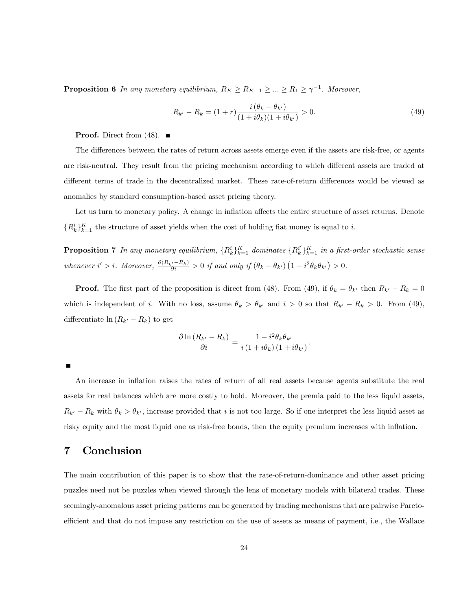**Proposition 6** In any monetary equilibrium,  $R_K \ge R_{K-1} \ge ... \ge R_1 \ge \gamma^{-1}$ . Moreover,

$$
R_{k'} - R_k = (1+r)\frac{i(\theta_k - \theta_{k'})}{(1+i\theta_k)(1+i\theta_{k'})} > 0.
$$
\n(49)

**Proof.** Direct from (48).  $\blacksquare$ 

The differences between the rates of return across assets emerge even if the assets are risk-free, or agents are risk-neutral. They result from the pricing mechanism according to which different assets are traded at different terms of trade in the decentralized market. These rate-of-return differences would be viewed as anomalies by standard consumption-based asset pricing theory.

Let us turn to monetary policy. A change in inflation affects the entire structure of asset returns. Denote  $\{R_k^i\}_{k=1}^K$  the structure of asset yields when the cost of holding fiat money is equal to i.

**Proposition 7** In any monetary equilibrium,  $\{R_k^i\}_{k=1}^K$  dominates  $\{R_k^{i'}\}_{k=1}^K$  in a first-order stochastic sense whenever  $i' > i$ . Moreover,  $\frac{\partial (R_{k'} - R_k)}{\partial i} > 0$  if and only if  $(\theta_k - \theta_{k'}) (1 - i^2 \theta_k \theta_{k'}) > 0$ .

**Proof.** The first part of the proposition is direct from (48). From (49), if  $\theta_k = \theta_{k'}$  then  $R_{k'} - R_k = 0$ which is independent of i. With no loss, assume  $\theta_k > \theta_{k'}$  and  $i > 0$  so that  $R_{k'} - R_k > 0$ . From (49), differentiate  $\ln(R_{k'} - R_k)$  to get

$$
\frac{\partial \ln(R_{k'} - R_k)}{\partial i} = \frac{1 - i^2 \theta_k \theta_{k'}}{i (1 + i \theta_k) (1 + i \theta_{k'})}.
$$

An increase in inflation raises the rates of return of all real assets because agents substitute the real assets for real balances which are more costly to hold. Moreover, the premia paid to the less liquid assets,  $R_{k'} - R_k$  with  $\theta_k > \theta_{k'}$ , increase provided that i is not too large. So if one interpret the less liquid asset as risky equity and the most liquid one as risk-free bonds, then the equity premium increases with inflation.

#### 7 Conclusion

The main contribution of this paper is to show that the rate-of-return-dominance and other asset pricing puzzles need not be puzzles when viewed through the lens of monetary models with bilateral trades. These seemingly-anomalous asset pricing patterns can be generated by trading mechanisms that are pairwise Paretoefficient and that do not impose any restriction on the use of assets as means of payment, i.e., the Wallace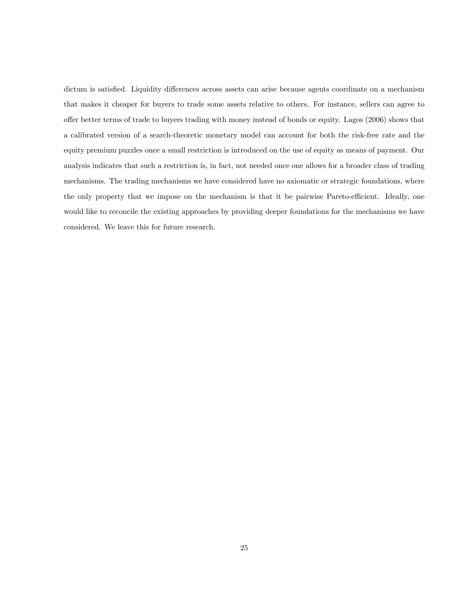dictum is satisfied. Liquidity differences across assets can arise because agents coordinate on a mechanism that makes it cheaper for buyers to trade some assets relative to others. For instance, sellers can agree to o§er better terms of trade to buyers trading with money instead of bonds or equity. Lagos (2006) shows that a calibrated version of a search-theoretic monetary model can account for both the risk-free rate and the equity premium puzzles once a small restriction is introduced on the use of equity as means of payment. Our analysis indicates that such a restriction is, in fact, not needed once one allows for a broader class of trading mechanisms. The trading mechanisms we have considered have no axiomatic or strategic foundations, where the only property that we impose on the mechanism is that it be pairwise Pareto-efficient. Ideally, one would like to reconcile the existing approaches by providing deeper foundations for the mechanisms we have considered. We leave this for future research.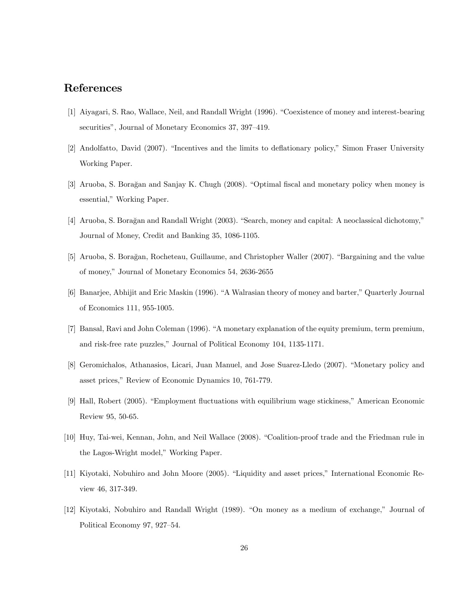#### References

- [1] Aiyagari, S. Rao, Wallace, Neil, and Randall Wright (1996). "Coexistence of money and interest-bearing securities", Journal of Monetary Economics 37, 397-419.
- [2] Andolfatto, David (2007). "Incentives and the limits to deflationary policy," Simon Fraser University Working Paper.
- [3] Aruoba, S. Boragan and Sanjay K. Chugh (2008). "Optimal fiscal and monetary policy when money is essential," Working Paper.
- [4] Aruoba, S. Borağan and Randall Wright (2003). "Search, money and capital: A neoclassical dichotomy," Journal of Money, Credit and Banking 35, 1086-1105.
- [5] Aruoba, S. Boragan, Rocheteau, Guillaume, and Christopher Waller (2007). "Bargaining and the value of money,î Journal of Monetary Economics 54, 2636-2655
- [6] Banarjee, Abhijit and Eric Maskin (1996). "A Walrasian theory of money and barter," Quarterly Journal of Economics 111, 955-1005.
- [7] Bansal, Ravi and John Coleman (1996). "A monetary explanation of the equity premium, term premium, and risk-free rate puzzles," Journal of Political Economy 104, 1135-1171.
- [8] Geromichalos, Athanasios, Licari, Juan Manuel, and Jose Suarez-Lledo (2007). "Monetary policy and asset prices," Review of Economic Dynamics 10, 761-779.
- [9] Hall, Robert (2005). "Employment fluctuations with equilibrium wage stickiness," American Economic Review 95, 50-65.
- [10] Huy, Tai-wei, Kennan, John, and Neil Wallace (2008). "Coalition-proof trade and the Friedman rule in the Lagos-Wright model," Working Paper.
- [11] Kiyotaki, Nobuhiro and John Moore (2005). "Liquidity and asset prices," International Economic Review 46, 317-349.
- [12] Kiyotaki, Nobuhiro and Randall Wright (1989). "On money as a medium of exchange," Journal of Political Economy 97, 927-54.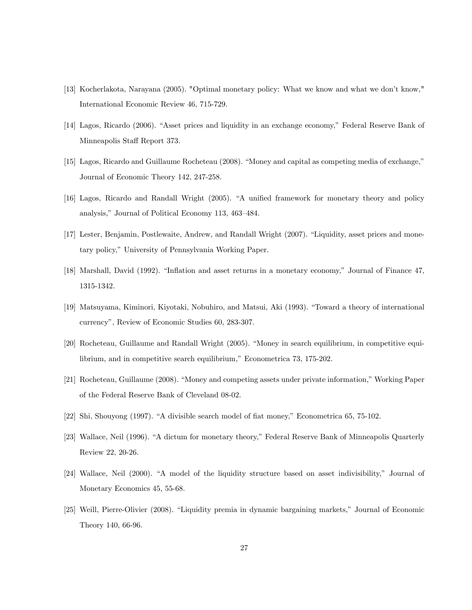- [13] Kocherlakota, Narayana (2005). "Optimal monetary policy: What we know and what we donít know," International Economic Review 46, 715-729.
- [14] Lagos, Ricardo (2006). "Asset prices and liquidity in an exchange economy," Federal Reserve Bank of Minneapolis Staff Report 373.
- $[15]$  Lagos, Ricardo and Guillaume Rocheteau (2008). "Money and capital as competing media of exchange," Journal of Economic Theory 142, 247-258.
- [16] Lagos, Ricardo and Randall Wright (2005). "A unified framework for monetary theory and policy analysis," Journal of Political Economy 113, 463–484.
- [17] Lester, Benjamin, Postlewaite, Andrew, and Randall Wright (2007). "Liquidity, asset prices and monetary policy," University of Pennsylvania Working Paper.
- [18] Marshall, David (1992). "Inflation and asset returns in a monetary economy," Journal of Finance 47, 1315-1342.
- [19] Matsuyama, Kiminori, Kiyotaki, Nobuhiro, and Matsui, Aki (1993). "Toward a theory of international currency", Review of Economic Studies 60, 283-307.
- [20] Rocheteau, Guillaume and Randall Wright (2005). "Money in search equilibrium, in competitive equilibrium, and in competitive search equilibrium," Econometrica  $73, 175-202$ .
- [21] Rocheteau, Guillaume (2008). "Money and competing assets under private information," Working Paper of the Federal Reserve Bank of Cleveland 08-02.
- $[22]$  Shi, Shouyong (1997). "A divisible search model of fiat money," Econometrica 65, 75-102.
- [23] Wallace, Neil (1996). "A dictum for monetary theory," Federal Reserve Bank of Minneapolis Quarterly Review 22, 20-26.
- [24] Wallace, Neil (2000). "A model of the liquidity structure based on asset indivisibility," Journal of Monetary Economics 45, 55-68.
- [25] Weill, Pierre-Olivier (2008). "Liquidity premia in dynamic bargaining markets," Journal of Economic Theory 140, 66-96.